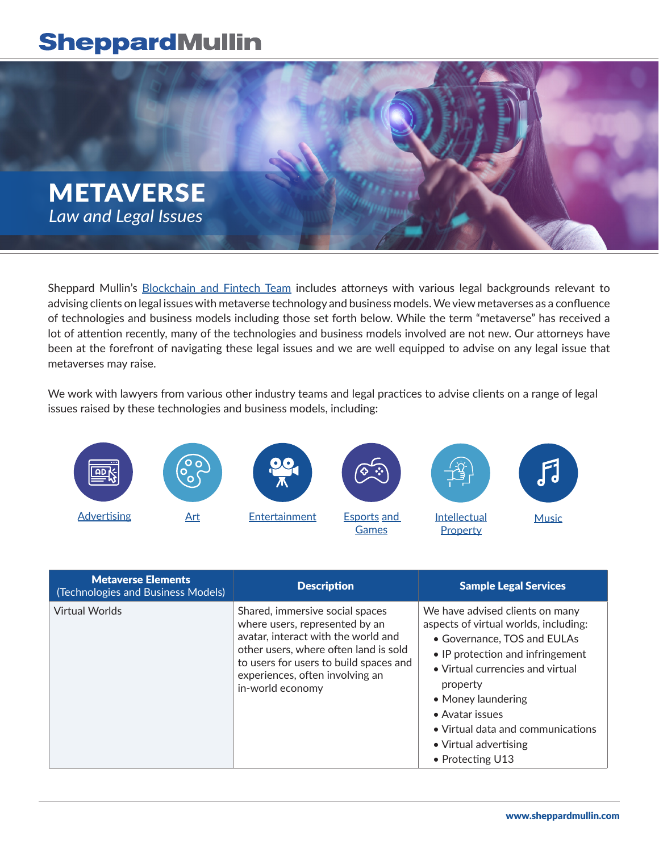## **SheppardMullin**



Sheppard Mullin's [Blockchain and Fintech Team](https://www.sheppardmullin.com/industries-87) includes attorneys with various legal backgrounds relevant to advising clients on legal issues with metaverse technology and business models. We view metaverses as a confluence of technologies and business models including those set forth below. While the term "metaverse" has received a lot of attention recently, many of the technologies and business models involved are not new. Our attorneys have been at the forefront of navigating these legal issues and we are well equipped to advise on any legal issue that metaverses may raise.

We work with lawyers from various other industry teams and legal practices to advise clients on a range of legal issues raised by these technologies and business models, including:



| <b>Metaverse Elements</b><br>(Technologies and Business Models) | <b>Description</b>                                                                                                                                                                                                                                 | <b>Sample Legal Services</b>                                                                                                                                                                                                                                                                                           |
|-----------------------------------------------------------------|----------------------------------------------------------------------------------------------------------------------------------------------------------------------------------------------------------------------------------------------------|------------------------------------------------------------------------------------------------------------------------------------------------------------------------------------------------------------------------------------------------------------------------------------------------------------------------|
| <b>Virtual Worlds</b>                                           | Shared, immersive social spaces<br>where users, represented by an<br>avatar, interact with the world and<br>other users, where often land is sold<br>to users for users to build spaces and<br>experiences, often involving an<br>in-world economy | We have advised clients on many<br>aspects of virtual worlds, including:<br>• Governance, TOS and EULAs<br>• IP protection and infringement<br>• Virtual currencies and virtual<br>property<br>• Money laundering<br>• Avatar issues<br>• Virtual data and communications<br>• Virtual advertising<br>• Protecting U13 |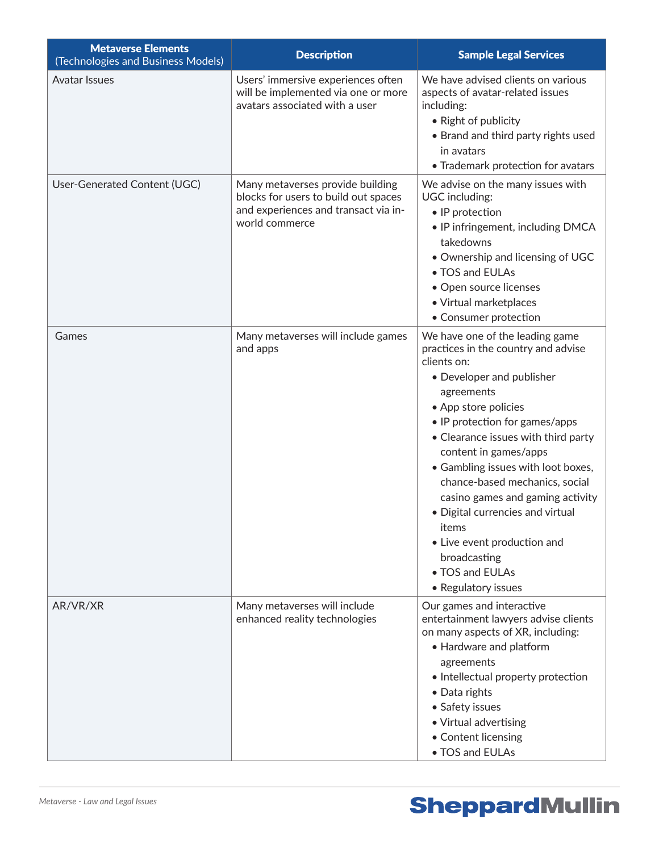| <b>Metaverse Elements</b><br>(Technologies and Business Models) | <b>Description</b>                                                                                                                 | <b>Sample Legal Services</b>                                                                                                                                                                                                                                                                                                                                                                                                                                                                                 |
|-----------------------------------------------------------------|------------------------------------------------------------------------------------------------------------------------------------|--------------------------------------------------------------------------------------------------------------------------------------------------------------------------------------------------------------------------------------------------------------------------------------------------------------------------------------------------------------------------------------------------------------------------------------------------------------------------------------------------------------|
| <b>Avatar Issues</b>                                            | Users' immersive experiences often<br>will be implemented via one or more<br>avatars associated with a user                        | We have advised clients on various<br>aspects of avatar-related issues<br>including:<br>• Right of publicity<br>• Brand and third party rights used<br>in avatars<br>• Trademark protection for avatars                                                                                                                                                                                                                                                                                                      |
| User-Generated Content (UGC)                                    | Many metaverses provide building<br>blocks for users to build out spaces<br>and experiences and transact via in-<br>world commerce | We advise on the many issues with<br>UGC including:<br>• IP protection<br>• IP infringement, including DMCA<br>takedowns<br>. Ownership and licensing of UGC<br>• TOS and EULAs<br>• Open source licenses<br>· Virtual marketplaces<br>• Consumer protection                                                                                                                                                                                                                                                 |
| Games                                                           | Many metaverses will include games<br>and apps                                                                                     | We have one of the leading game<br>practices in the country and advise<br>clients on:<br>• Developer and publisher<br>agreements<br>• App store policies<br>• IP protection for games/apps<br>• Clearance issues with third party<br>content in games/apps<br>• Gambling issues with loot boxes,<br>chance-based mechanics, social<br>casino games and gaming activity<br>· Digital currencies and virtual<br>items<br>• Live event production and<br>broadcasting<br>• TOS and EULAs<br>• Regulatory issues |
| AR/VR/XR                                                        | Many metaverses will include<br>enhanced reality technologies                                                                      | Our games and interactive<br>entertainment lawyers advise clients<br>on many aspects of XR, including:<br>• Hardware and platform<br>agreements<br>• Intellectual property protection<br>• Data rights<br>• Safety issues<br>• Virtual advertising<br>• Content licensing<br>• TOS and EULAs                                                                                                                                                                                                                 |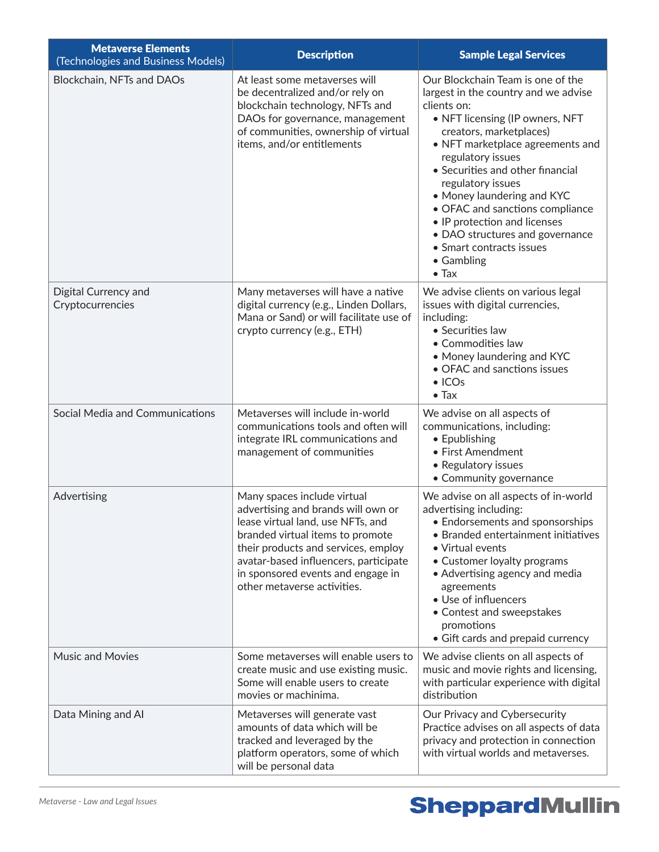| <b>Metaverse Elements</b><br>(Technologies and Business Models) | <b>Description</b>                                                                                                                                                                                                                                                                             | <b>Sample Legal Services</b>                                                                                                                                                                                                                                                                                                                                                                                                                                            |
|-----------------------------------------------------------------|------------------------------------------------------------------------------------------------------------------------------------------------------------------------------------------------------------------------------------------------------------------------------------------------|-------------------------------------------------------------------------------------------------------------------------------------------------------------------------------------------------------------------------------------------------------------------------------------------------------------------------------------------------------------------------------------------------------------------------------------------------------------------------|
| Blockchain, NFTs and DAOs                                       | At least some metaverses will<br>be decentralized and/or rely on<br>blockchain technology, NFTs and<br>DAOs for governance, management<br>of communities, ownership of virtual<br>items, and/or entitlements                                                                                   | Our Blockchain Team is one of the<br>largest in the country and we advise<br>clients on:<br>• NFT licensing (IP owners, NFT<br>creators, marketplaces)<br>• NFT marketplace agreements and<br>regulatory issues<br>• Securities and other financial<br>regulatory issues<br>• Money laundering and KYC<br>• OFAC and sanctions compliance<br>• IP protection and licenses<br>• DAO structures and governance<br>• Smart contracts issues<br>• Gambling<br>$\bullet$ Tax |
| Digital Currency and<br>Cryptocurrencies                        | Many metaverses will have a native<br>digital currency (e.g., Linden Dollars,<br>Mana or Sand) or will facilitate use of<br>crypto currency (e.g., ETH)                                                                                                                                        | We advise clients on various legal<br>issues with digital currencies,<br>including:<br>• Securities law<br>• Commodities law<br>• Money laundering and KYC<br>• OFAC and sanctions issues<br>$\bullet$ ICOs<br>$\bullet$ Tax                                                                                                                                                                                                                                            |
| Social Media and Communications                                 | Metaverses will include in-world<br>communications tools and often will<br>integrate IRL communications and<br>management of communities                                                                                                                                                       | We advise on all aspects of<br>communications, including:<br>• Epublishing<br>• First Amendment<br>• Regulatory issues<br>• Community governance                                                                                                                                                                                                                                                                                                                        |
| Advertising                                                     | Many spaces include virtual<br>advertising and brands will own or<br>lease virtual land, use NFTs, and<br>branded virtual items to promote<br>their products and services, employ<br>avatar-based influencers, participate<br>in sponsored events and engage in<br>other metaverse activities. | We advise on all aspects of in-world<br>advertising including:<br>• Endorsements and sponsorships<br>• Branded entertainment initiatives<br>• Virtual events<br>• Customer loyalty programs<br>• Advertising agency and media<br>agreements<br>• Use of influencers<br>• Contest and sweepstakes<br>promotions<br>• Gift cards and prepaid currency                                                                                                                     |
| <b>Music and Movies</b>                                         | Some metaverses will enable users to<br>create music and use existing music.<br>Some will enable users to create<br>movies or machinima.                                                                                                                                                       | We advise clients on all aspects of<br>music and movie rights and licensing,<br>with particular experience with digital<br>distribution                                                                                                                                                                                                                                                                                                                                 |
| Data Mining and Al                                              | Metaverses will generate vast<br>amounts of data which will be<br>tracked and leveraged by the<br>platform operators, some of which<br>will be personal data                                                                                                                                   | Our Privacy and Cybersecurity<br>Practice advises on all aspects of data<br>privacy and protection in connection<br>with virtual worlds and metaverses.                                                                                                                                                                                                                                                                                                                 |